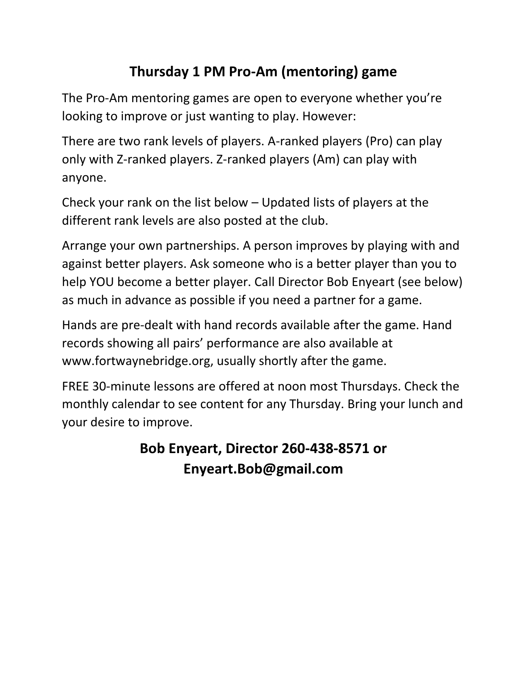## **Thursday 1 PM Pro-Am (mentoring) game**

The Pro-Am mentoring games are open to everyone whether you're looking to improve or just wanting to play. However:

There are two rank levels of players. A-ranked players (Pro) can play only with Z-ranked players. Z-ranked players (Am) can play with anyone.

Check your rank on the list below – Updated lists of players at the different rank levels are also posted at the club.

Arrange your own partnerships. A person improves by playing with and against better players. Ask someone who is a better player than you to help YOU become a better player. Call Director Bob Enyeart (see below) as much in advance as possible if you need a partner for a game.

Hands are pre-dealt with hand records available after the game. Hand records showing all pairs' performance are also available at www.fortwaynebridge.org, usually shortly after the game.

FREE 30-minute lessons are offered at noon most Thursdays. Check the monthly calendar to see content for any Thursday. Bring your lunch and your desire to improve.

## **Bob Enyeart, Director 260-438-8571 or Enyeart.Bob@gmail.com**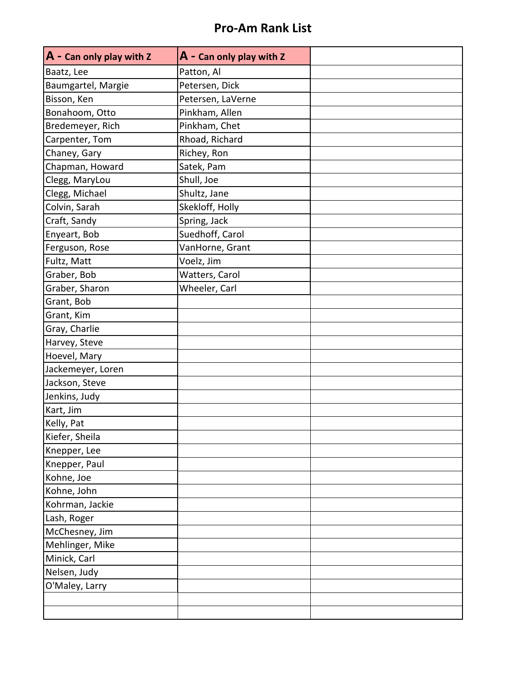## **Pro-Am Rank List**

| A - Can only play with Z | $A$ - Can only play with Z |  |
|--------------------------|----------------------------|--|
| Baatz, Lee               | Patton, Al                 |  |
| Baumgartel, Margie       | Petersen, Dick             |  |
| Bisson, Ken              | Petersen, LaVerne          |  |
| Bonahoom, Otto           | Pinkham, Allen             |  |
| Bredemeyer, Rich         | Pinkham, Chet              |  |
| Carpenter, Tom           | Rhoad, Richard             |  |
| Chaney, Gary             | Richey, Ron                |  |
| Chapman, Howard          | Satek, Pam                 |  |
| Clegg, MaryLou           | Shull, Joe                 |  |
| Clegg, Michael           | Shultz, Jane               |  |
| Colvin, Sarah            | Skekloff, Holly            |  |
| Craft, Sandy             | Spring, Jack               |  |
| Enyeart, Bob             | Suedhoff, Carol            |  |
| Ferguson, Rose           | VanHorne, Grant            |  |
| Fultz, Matt              | Voelz, Jim                 |  |
| Graber, Bob              | Watters, Carol             |  |
| Graber, Sharon           | Wheeler, Carl              |  |
| Grant, Bob               |                            |  |
| Grant, Kim               |                            |  |
| Gray, Charlie            |                            |  |
| Harvey, Steve            |                            |  |
| Hoevel, Mary             |                            |  |
| Jackemeyer, Loren        |                            |  |
| Jackson, Steve           |                            |  |
| Jenkins, Judy            |                            |  |
| Kart, Jim                |                            |  |
| Kelly, Pat               |                            |  |
| Kiefer, Sheila           |                            |  |
| Knepper, Lee             |                            |  |
| Knepper, Paul            |                            |  |
| Kohne, Joe               |                            |  |
| Kohne, John              |                            |  |
| Kohrman, Jackie          |                            |  |
| Lash, Roger              |                            |  |
| McChesney, Jim           |                            |  |
| Mehlinger, Mike          |                            |  |
| Minick, Carl             |                            |  |
| Nelsen, Judy             |                            |  |
| O'Maley, Larry           |                            |  |
|                          |                            |  |
|                          |                            |  |